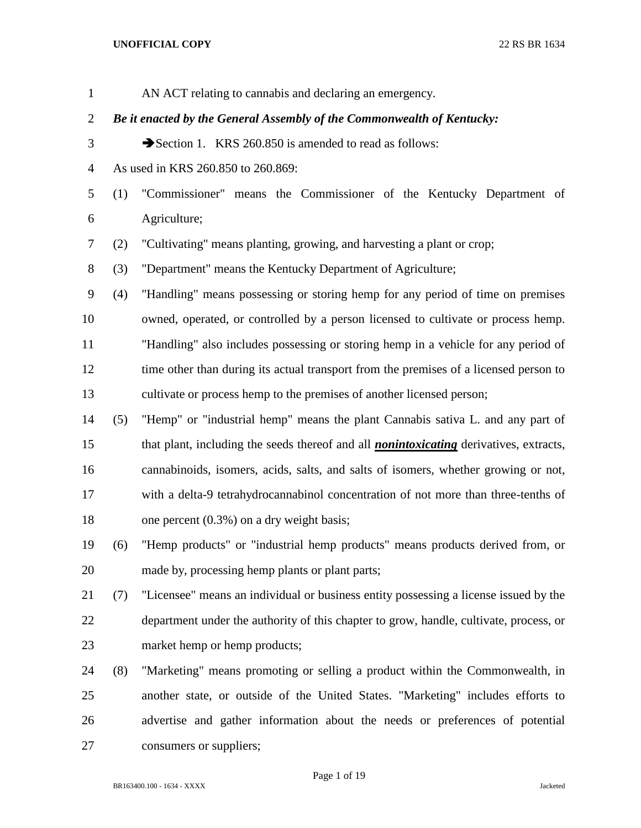| $\mathbf{1}$   |                                                                        | AN ACT relating to cannabis and declaring an emergency.                                       |  |
|----------------|------------------------------------------------------------------------|-----------------------------------------------------------------------------------------------|--|
| $\overline{2}$ | Be it enacted by the General Assembly of the Commonwealth of Kentucky: |                                                                                               |  |
| 3              |                                                                        | Section 1. KRS 260.850 is amended to read as follows:                                         |  |
| $\overline{4}$ |                                                                        | As used in KRS 260.850 to 260.869:                                                            |  |
| 5              | (1)                                                                    | "Commissioner" means the Commissioner of the Kentucky Department of                           |  |
| 6              |                                                                        | Agriculture;                                                                                  |  |
| 7              | (2)                                                                    | "Cultivating" means planting, growing, and harvesting a plant or crop;                        |  |
| 8              | (3)                                                                    | "Department" means the Kentucky Department of Agriculture;                                    |  |
| 9              | (4)                                                                    | "Handling" means possessing or storing hemp for any period of time on premises                |  |
| 10             |                                                                        | owned, operated, or controlled by a person licensed to cultivate or process hemp.             |  |
| 11             |                                                                        | "Handling" also includes possessing or storing hemp in a vehicle for any period of            |  |
| 12             |                                                                        | time other than during its actual transport from the premises of a licensed person to         |  |
| 13             |                                                                        | cultivate or process hemp to the premises of another licensed person;                         |  |
| 14             | (5)                                                                    | "Hemp" or "industrial hemp" means the plant Cannabis sativa L. and any part of                |  |
| 15             |                                                                        | that plant, including the seeds thereof and all <i>nonintoxicating</i> derivatives, extracts, |  |
| 16             |                                                                        | cannabinoids, isomers, acids, salts, and salts of isomers, whether growing or not,            |  |
| 17             |                                                                        | with a delta-9 tetrahydrocannabinol concentration of not more than three-tenths of            |  |
| 18             |                                                                        | one percent $(0.3\%)$ on a dry weight basis;                                                  |  |
| 19             | (6)                                                                    | "Hemp products" or "industrial hemp products" means products derived from, or                 |  |
| 20             |                                                                        | made by, processing hemp plants or plant parts;                                               |  |
| 21             | (7)                                                                    | "Licensee" means an individual or business entity possessing a license issued by the          |  |
| 22             |                                                                        | department under the authority of this chapter to grow, handle, cultivate, process, or        |  |
| 23             |                                                                        | market hemp or hemp products;                                                                 |  |
| 24             | (8)                                                                    | "Marketing" means promoting or selling a product within the Commonwealth, in                  |  |
| 25             |                                                                        | another state, or outside of the United States. "Marketing" includes efforts to               |  |
| 26             |                                                                        | advertise and gather information about the needs or preferences of potential                  |  |
| 27             |                                                                        | consumers or suppliers;                                                                       |  |
|                |                                                                        |                                                                                               |  |

# Page 1 of 19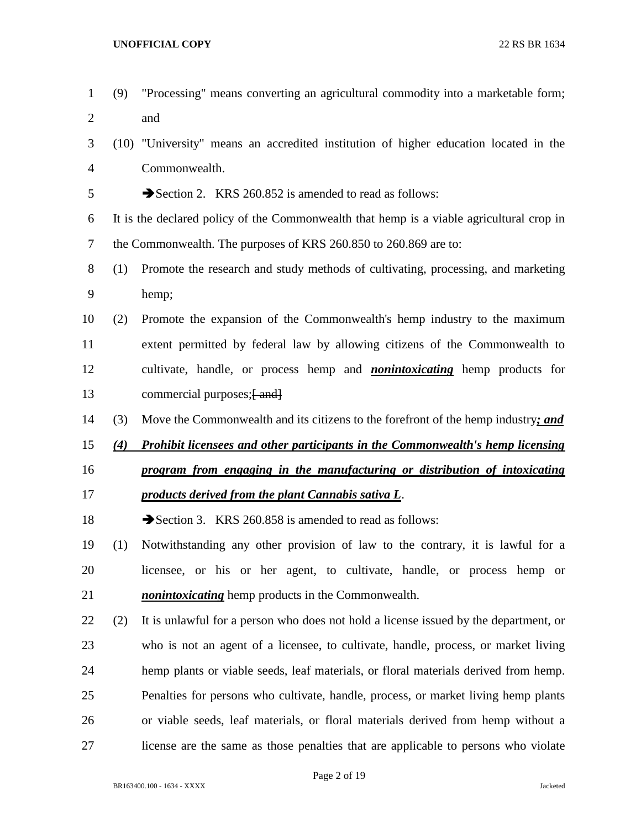| $\overline{2}$ |     | and                                                                                      |
|----------------|-----|------------------------------------------------------------------------------------------|
| 3              |     | (10) "University" means an accredited institution of higher education located in the     |
| $\overline{4}$ |     | Commonwealth.                                                                            |
| 5              |     | Section 2. KRS 260.852 is amended to read as follows:                                    |
| 6              |     | It is the declared policy of the Commonwealth that hemp is a viable agricultural crop in |
| $\tau$         |     | the Commonwealth. The purposes of KRS 260.850 to 260.869 are to:                         |
| 8              | (1) | Promote the research and study methods of cultivating, processing, and marketing         |
| 9              |     | hemp;                                                                                    |
| 10             | (2) | Promote the expansion of the Commonwealth's hemp industry to the maximum                 |
| 11             |     | extent permitted by federal law by allowing citizens of the Commonwealth to              |
| 12             |     | cultivate, handle, or process hemp and <i>nonintoxicating</i> hemp products for          |
| 13             |     | commercial purposes; [ and]                                                              |
| 14             | (3) | Move the Commonwealth and its citizens to the forefront of the hemp industry; and        |
| 15             | (4) | <b>Prohibit licensees and other participants in the Commonwealth's hemp licensing</b>    |
| 16             |     | program from engaging in the manufacturing or distribution of intoxicating               |
| 17             |     | products derived from the plant Cannabis sativa L.                                       |
| 18             |     |                                                                                          |
| 19             |     | Section 3. KRS 260.858 is amended to read as follows:                                    |
|                | (1) | Notwithstanding any other provision of law to the contrary, it is lawful for a           |
|                |     | licensee, or his or her agent, to cultivate, handle, or process hemp or                  |
| 20<br>21       |     | <i>nonintoxicating</i> hemp products in the Commonwealth.                                |
| 22             | (2) | It is unlawful for a person who does not hold a license issued by the department, or     |
| 23             |     | who is not an agent of a licensee, to cultivate, handle, process, or market living       |
| 24             |     | hemp plants or viable seeds, leaf materials, or floral materials derived from hemp.      |
| 25             |     | Penalties for persons who cultivate, handle, process, or market living hemp plants       |
| 26             |     | or viable seeds, leaf materials, or floral materials derived from hemp without a         |

(9) "Processing" means converting an agricultural commodity into a marketable form;

Page 2 of 19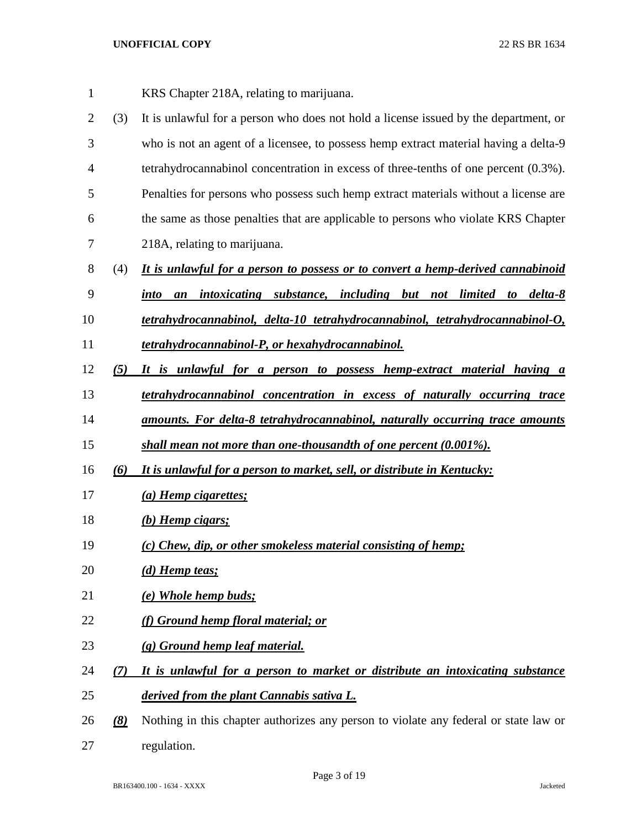- KRS Chapter 218A, relating to marijuana.
- (3) It is unlawful for a person who does not hold a license issued by the department, or who is not an agent of a licensee, to possess hemp extract material having a delta-9 tetrahydrocannabinol concentration in excess of three-tenths of one percent (0.3%). Penalties for persons who possess such hemp extract materials without a license are the same as those penalties that are applicable to persons who violate KRS Chapter 218A, relating to marijuana.
- (4) *It is unlawful for a person to possess or to convert a hemp-derived cannabinoid*
- *into an intoxicating substance, including but not limited to delta-8*
- *tetrahydrocannabinol, delta-10 tetrahydrocannabinol, tetrahydrocannabinol-O,*
- *tetrahydrocannabinol-P, or hexahydrocannabinol.*
- *(5) It is unlawful for a person to possess hemp-extract material having a*
- *tetrahydrocannabinol concentration in excess of naturally occurring trace*
- *amounts. For delta-8 tetrahydrocannabinol, naturally occurring trace amounts*
- *shall mean not more than one-thousandth of one percent (0.001%).*
- *(6) It is unlawful for a person to market, sell, or distribute in Kentucky:*
- *(a) Hemp cigarettes;*
- *(b) Hemp cigars;*
- *(c) Chew, dip, or other smokeless material consisting of hemp;*
- *(d) Hemp teas;*
- *(e) Whole hemp buds;*
- *(f) Ground hemp floral material; or*
- *(g) Ground hemp leaf material.*
- *(7) It is unlawful for a person to market or distribute an intoxicating substance derived from the plant Cannabis sativa L.*
- *(8)* Nothing in this chapter authorizes any person to violate any federal or state law or regulation.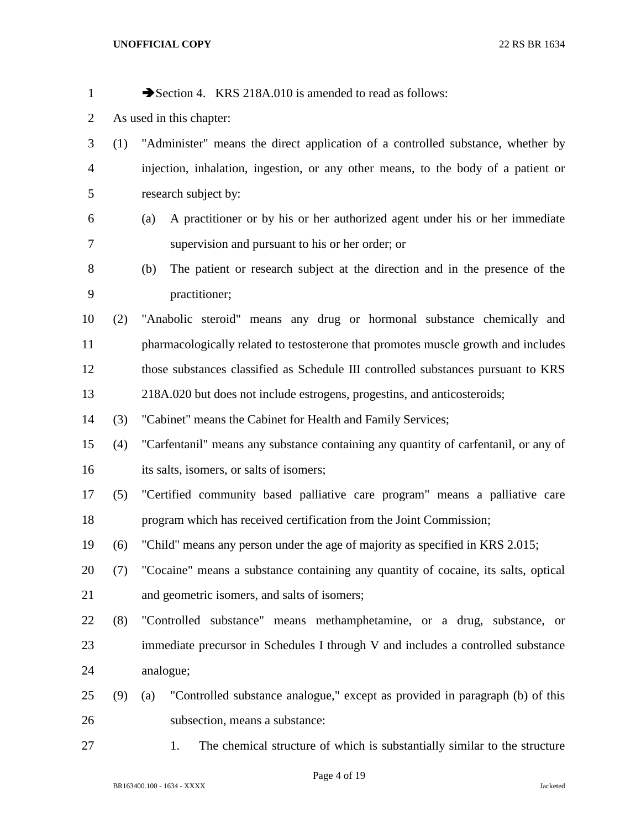| $\mathbf{1}$   |     | Section 4. KRS 218A.010 is amended to read as follows:                              |
|----------------|-----|-------------------------------------------------------------------------------------|
| $\overline{2}$ |     | As used in this chapter:                                                            |
| 3              | (1) | "Administer" means the direct application of a controlled substance, whether by     |
| $\overline{4}$ |     | injection, inhalation, ingestion, or any other means, to the body of a patient or   |
| 5              |     | research subject by:                                                                |
| 6              |     | A practitioner or by his or her authorized agent under his or her immediate<br>(a)  |
| 7              |     | supervision and pursuant to his or her order; or                                    |
| 8              |     | The patient or research subject at the direction and in the presence of the<br>(b)  |
| 9              |     | practitioner;                                                                       |
| 10             | (2) | "Anabolic steroid" means any drug or hormonal substance chemically and              |
| 11             |     | pharmacologically related to testosterone that promotes muscle growth and includes  |
| 12             |     | those substances classified as Schedule III controlled substances pursuant to KRS   |
| 13             |     | 218A.020 but does not include estrogens, progestins, and anticosteroids;            |
| 14             | (3) | "Cabinet" means the Cabinet for Health and Family Services;                         |
| 15             | (4) | "Carfentanil" means any substance containing any quantity of carfentanil, or any of |
| 16             |     | its salts, isomers, or salts of isomers;                                            |
| 17             | (5) | "Certified community based palliative care program" means a palliative care         |
| 18             |     | program which has received certification from the Joint Commission;                 |
| 19             | (6) | "Child" means any person under the age of majority as specified in KRS 2.015;       |
| 20             | (7) | "Cocaine" means a substance containing any quantity of cocaine, its salts, optical  |
| 21             |     | and geometric isomers, and salts of isomers;                                        |
| 22             | (8) | "Controlled substance" means methamphetamine, or a drug, substance, or              |
| 23             |     | immediate precursor in Schedules I through V and includes a controlled substance    |
| 24             |     | analogue;                                                                           |
| 25             | (9) | "Controlled substance analogue," except as provided in paragraph (b) of this<br>(a) |
| 26             |     | subsection, means a substance:                                                      |
| 27             |     | The chemical structure of which is substantially similar to the structure<br>1.     |
|                |     |                                                                                     |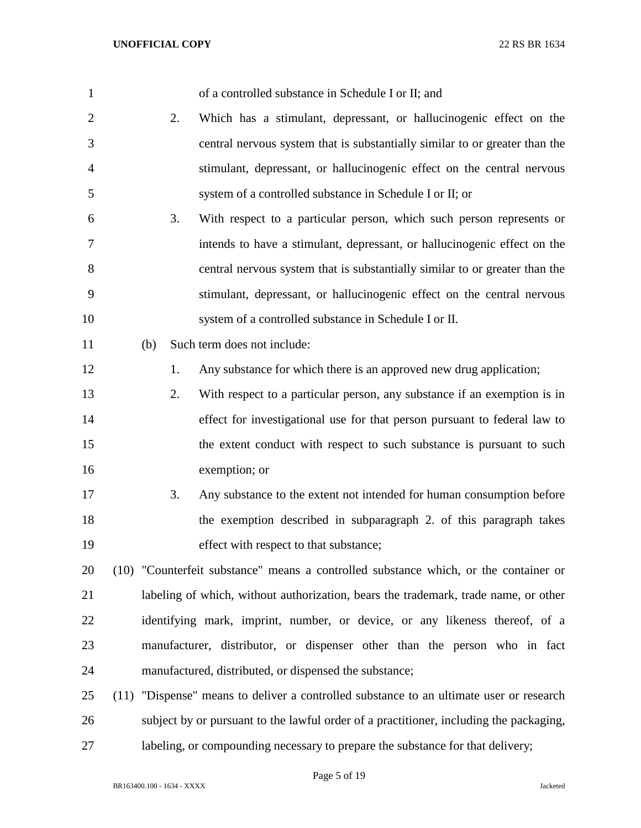| $\mathbf{1}$   |      | of a controlled substance in Schedule I or II; and                                     |
|----------------|------|----------------------------------------------------------------------------------------|
| $\overline{2}$ | 2.   | Which has a stimulant, depressant, or hallucinogenic effect on the                     |
| 3              |      | central nervous system that is substantially similar to or greater than the            |
| $\overline{4}$ |      | stimulant, depressant, or hallucinogenic effect on the central nervous                 |
| 5              |      | system of a controlled substance in Schedule I or II; or                               |
| 6              | 3.   | With respect to a particular person, which such person represents or                   |
| 7              |      | intends to have a stimulant, depressant, or hallucinogenic effect on the               |
| 8              |      | central nervous system that is substantially similar to or greater than the            |
| 9              |      | stimulant, depressant, or hallucinogenic effect on the central nervous                 |
| 10             |      | system of a controlled substance in Schedule I or II.                                  |
| 11             | (b)  | Such term does not include:                                                            |
| 12             | 1.   | Any substance for which there is an approved new drug application;                     |
| 13             | 2.   | With respect to a particular person, any substance if an exemption is in               |
| 14             |      | effect for investigational use for that person pursuant to federal law to              |
| 15             |      | the extent conduct with respect to such substance is pursuant to such                  |
| 16             |      | exemption; or                                                                          |
| 17             | 3.   | Any substance to the extent not intended for human consumption before                  |
| 18             |      | the exemption described in subparagraph 2. of this paragraph takes                     |
| 19             |      | effect with respect to that substance;                                                 |
| 20             |      | (10) "Counterfeit substance" means a controlled substance which, or the container or   |
| 21             |      | labeling of which, without authorization, bears the trademark, trade name, or other    |
| 22             |      | identifying mark, imprint, number, or device, or any likeness thereof, of a            |
| 23             |      | manufacturer, distributor, or dispenser other than the person who in fact              |
| 24             |      | manufactured, distributed, or dispensed the substance;                                 |
| 25             | (11) | "Dispense" means to deliver a controlled substance to an ultimate user or research     |
| 26             |      | subject by or pursuant to the lawful order of a practitioner, including the packaging, |
| 27             |      | labeling, or compounding necessary to prepare the substance for that delivery;         |

Page 5 of 19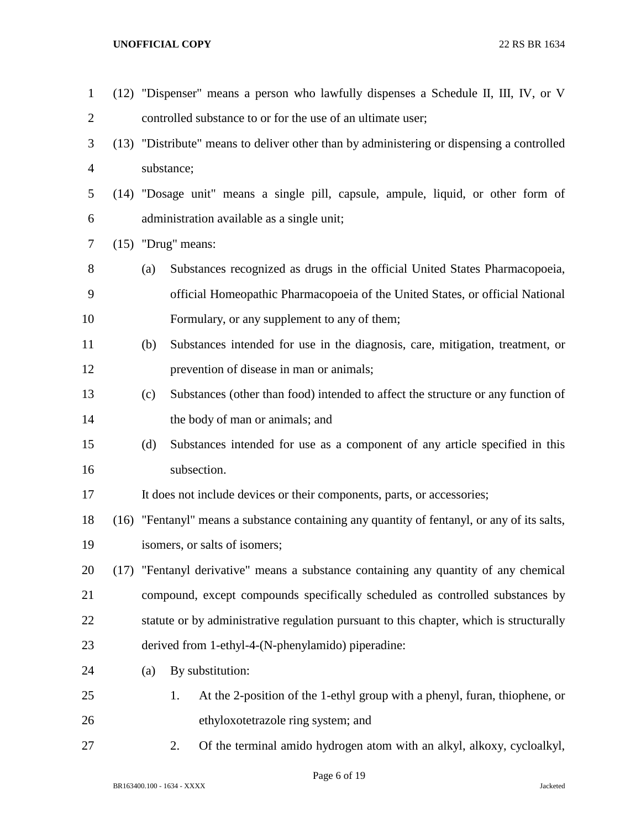| $\mathbf{1}$   | (12) "Dispenser" means a person who lawfully dispenses a Schedule II, III, IV, or V       |                                                                                             |  |
|----------------|-------------------------------------------------------------------------------------------|---------------------------------------------------------------------------------------------|--|
| $\overline{2}$ |                                                                                           | controlled substance to or for the use of an ultimate user;                                 |  |
| 3              | (13) "Distribute" means to deliver other than by administering or dispensing a controlled |                                                                                             |  |
| $\overline{4}$ |                                                                                           | substance;                                                                                  |  |
| 5              |                                                                                           | (14) "Dosage unit" means a single pill, capsule, ampule, liquid, or other form of           |  |
| 6              |                                                                                           | administration available as a single unit;                                                  |  |
| $\tau$         | $(15)$ "Drug" means:                                                                      |                                                                                             |  |
| 8              | (a)                                                                                       | Substances recognized as drugs in the official United States Pharmacopoeia,                 |  |
| 9              |                                                                                           | official Homeopathic Pharmacopoeia of the United States, or official National               |  |
| 10             |                                                                                           | Formulary, or any supplement to any of them;                                                |  |
| 11             | (b)                                                                                       | Substances intended for use in the diagnosis, care, mitigation, treatment, or               |  |
| 12             |                                                                                           | prevention of disease in man or animals;                                                    |  |
| 13             | (c)                                                                                       | Substances (other than food) intended to affect the structure or any function of            |  |
| 14             |                                                                                           | the body of man or animals; and                                                             |  |
| 15             | (d)                                                                                       | Substances intended for use as a component of any article specified in this                 |  |
| 16             |                                                                                           | subsection.                                                                                 |  |
| 17             |                                                                                           | It does not include devices or their components, parts, or accessories;                     |  |
| 18             |                                                                                           | (16) "Fentanyl" means a substance containing any quantity of fentanyl, or any of its salts, |  |
| 19             |                                                                                           | isomers, or salts of isomers;                                                               |  |
| 20             | (17) "Fentanyl derivative" means a substance containing any quantity of any chemical      |                                                                                             |  |
| 21             |                                                                                           | compound, except compounds specifically scheduled as controlled substances by               |  |
| 22             |                                                                                           | statute or by administrative regulation pursuant to this chapter, which is structurally     |  |
| 23             |                                                                                           | derived from 1-ethyl-4-(N-phenylamido) piperadine:                                          |  |
| 24             | (a)                                                                                       | By substitution:                                                                            |  |
| 25             |                                                                                           | At the 2-position of the 1-ethyl group with a phenyl, furan, thiophene, or<br>1.            |  |
| 26             |                                                                                           | ethyloxotetrazole ring system; and                                                          |  |
| 27             |                                                                                           | Of the terminal amido hydrogen atom with an alkyl, alkoxy, cycloalkyl,<br>2.                |  |

Page 6 of 19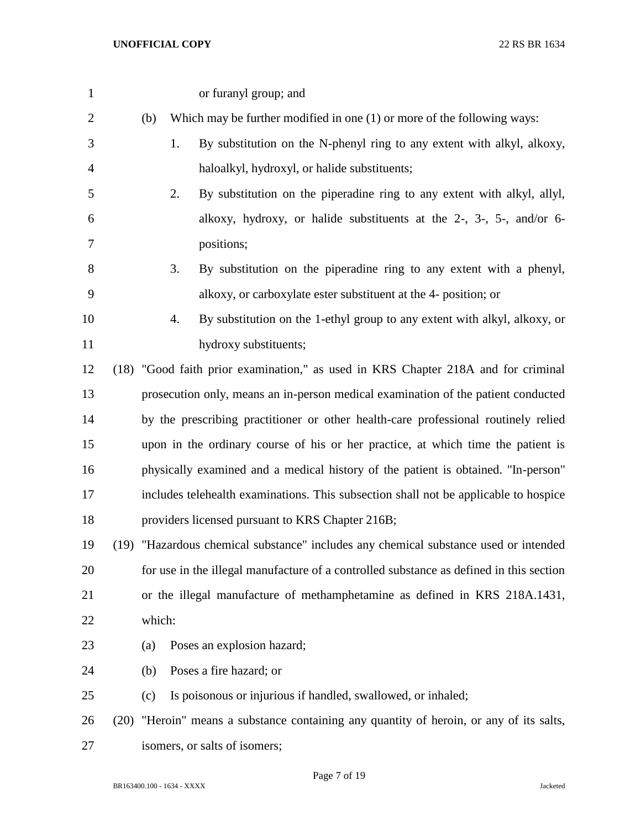| $\mathbf{1}$   |      |        | or furanyl group; and                                                                   |
|----------------|------|--------|-----------------------------------------------------------------------------------------|
| $\overline{2}$ |      | (b)    | Which may be further modified in one $(1)$ or more of the following ways:               |
| 3              |      |        | By substitution on the N-phenyl ring to any extent with alkyl, alkoxy,<br>1.            |
| 4              |      |        | haloalkyl, hydroxyl, or halide substituents;                                            |
| 5              |      |        | By substitution on the piperadine ring to any extent with alkyl, allyl,<br>2.           |
| 6              |      |        | alkoxy, hydroxy, or halide substituents at the 2-, 3-, 5-, and/or 6-                    |
| 7              |      |        | positions;                                                                              |
| 8              |      |        | 3.<br>By substitution on the piperadine ring to any extent with a phenyl,               |
| 9              |      |        | alkoxy, or carboxylate ester substituent at the 4- position; or                         |
| 10             |      |        | By substitution on the 1-ethyl group to any extent with alkyl, alkoxy, or<br>4.         |
| 11             |      |        | hydroxy substituents;                                                                   |
| 12             |      |        | (18) "Good faith prior examination," as used in KRS Chapter 218A and for criminal       |
| 13             |      |        | prosecution only, means an in-person medical examination of the patient conducted       |
| 14             |      |        | by the prescribing practitioner or other health-care professional routinely relied      |
| 15             |      |        | upon in the ordinary course of his or her practice, at which time the patient is        |
| 16             |      |        | physically examined and a medical history of the patient is obtained. "In-person"       |
| 17             |      |        | includes telehealth examinations. This subsection shall not be applicable to hospice    |
| 18             |      |        | providers licensed pursuant to KRS Chapter 216B;                                        |
| 19             |      |        | (19) "Hazardous chemical substance" includes any chemical substance used or intended    |
| 20             |      |        | for use in the illegal manufacture of a controlled substance as defined in this section |
| 21             |      |        | or the illegal manufacture of methamphetamine as defined in KRS 218A.1431,              |
| 22             |      | which: |                                                                                         |
| 23             |      | (a)    | Poses an explosion hazard;                                                              |
| 24             |      | (b)    | Poses a fire hazard; or                                                                 |
| 25             |      | (c)    | Is poisonous or injurious if handled, swallowed, or inhaled;                            |
| 26             | (20) |        | "Heroin" means a substance containing any quantity of heroin, or any of its salts,      |
| 27             |      |        | isomers, or salts of isomers;                                                           |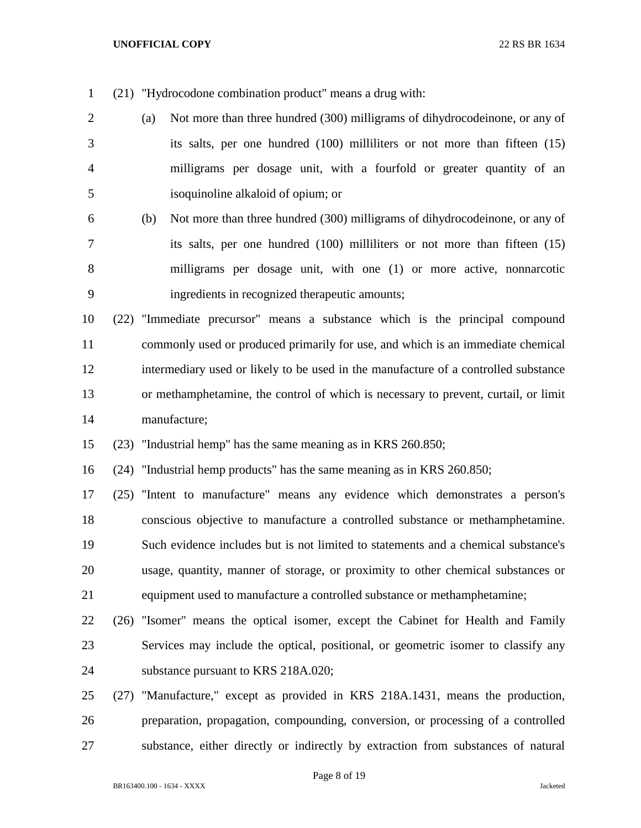(21) "Hydrocodone combination product" means a drug with:

- (a) Not more than three hundred (300) milligrams of dihydrocodeinone, or any of its salts, per one hundred (100) milliliters or not more than fifteen (15) milligrams per dosage unit, with a fourfold or greater quantity of an isoquinoline alkaloid of opium; or
- (b) Not more than three hundred (300) milligrams of dihydrocodeinone, or any of its salts, per one hundred (100) milliliters or not more than fifteen (15) milligrams per dosage unit, with one (1) or more active, nonnarcotic ingredients in recognized therapeutic amounts;
- (22) "Immediate precursor" means a substance which is the principal compound commonly used or produced primarily for use, and which is an immediate chemical intermediary used or likely to be used in the manufacture of a controlled substance or methamphetamine, the control of which is necessary to prevent, curtail, or limit manufacture;
- (23) "Industrial hemp" has the same meaning as in KRS 260.850;

(24) "Industrial hemp products" has the same meaning as in KRS 260.850;

 (25) "Intent to manufacture" means any evidence which demonstrates a person's conscious objective to manufacture a controlled substance or methamphetamine. Such evidence includes but is not limited to statements and a chemical substance's usage, quantity, manner of storage, or proximity to other chemical substances or equipment used to manufacture a controlled substance or methamphetamine;

- (26) "Isomer" means the optical isomer, except the Cabinet for Health and Family Services may include the optical, positional, or geometric isomer to classify any substance pursuant to KRS 218A.020;
- (27) "Manufacture," except as provided in KRS 218A.1431, means the production, preparation, propagation, compounding, conversion, or processing of a controlled substance, either directly or indirectly by extraction from substances of natural

Page 8 of 19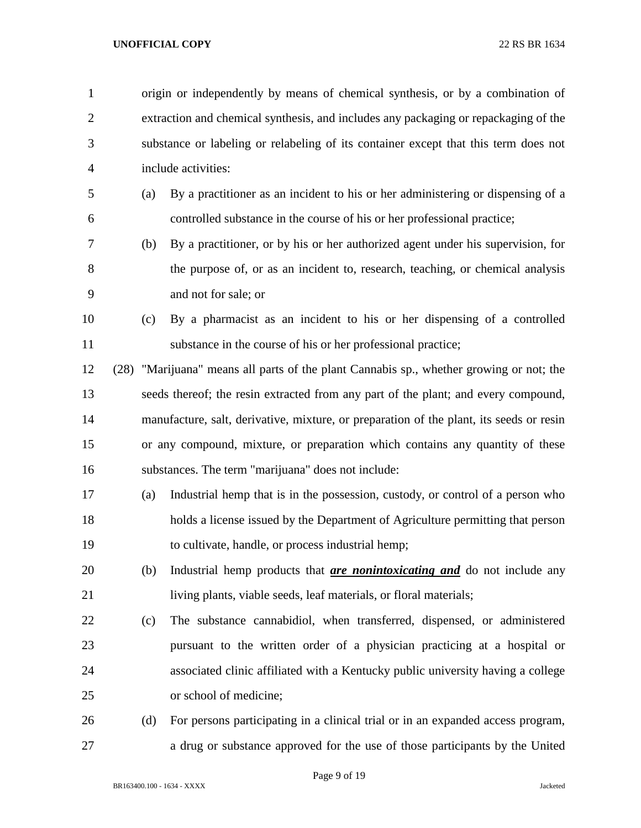| $\mathbf{1}$   |     | origin or independently by means of chemical synthesis, or by a combination of          |  |  |
|----------------|-----|-----------------------------------------------------------------------------------------|--|--|
| $\overline{2}$ |     | extraction and chemical synthesis, and includes any packaging or repackaging of the     |  |  |
| 3              |     | substance or labeling or relabeling of its container except that this term does not     |  |  |
| 4              |     | include activities:                                                                     |  |  |
| 5              | (a) | By a practitioner as an incident to his or her administering or dispensing of a         |  |  |
| 6              |     | controlled substance in the course of his or her professional practice;                 |  |  |
| 7              | (b) | By a practitioner, or by his or her authorized agent under his supervision, for         |  |  |
| 8              |     | the purpose of, or as an incident to, research, teaching, or chemical analysis          |  |  |
| 9              |     | and not for sale; or                                                                    |  |  |
| 10             | (c) | By a pharmacist as an incident to his or her dispensing of a controlled                 |  |  |
| 11             |     | substance in the course of his or her professional practice;                            |  |  |
| 12             |     | (28) "Marijuana" means all parts of the plant Cannabis sp., whether growing or not; the |  |  |
| 13             |     | seeds thereof; the resin extracted from any part of the plant; and every compound,      |  |  |
| 14             |     | manufacture, salt, derivative, mixture, or preparation of the plant, its seeds or resin |  |  |
| 15             |     | or any compound, mixture, or preparation which contains any quantity of these           |  |  |
| 16             |     | substances. The term "marijuana" does not include:                                      |  |  |
| 17             | (a) | Industrial hemp that is in the possession, custody, or control of a person who          |  |  |
| 18             |     | holds a license issued by the Department of Agriculture permitting that person          |  |  |
| 19             |     | to cultivate, handle, or process industrial hemp;                                       |  |  |
| 20             | (b) | Industrial hemp products that <i>are nonintoxicating and</i> do not include any         |  |  |
| 21             |     | living plants, viable seeds, leaf materials, or floral materials;                       |  |  |
| 22             | (c) | The substance cannabidiol, when transferred, dispensed, or administered                 |  |  |
| 23             |     | pursuant to the written order of a physician practicing at a hospital or                |  |  |
| 24             |     | associated clinic affiliated with a Kentucky public university having a college         |  |  |
| 25             |     | or school of medicine;                                                                  |  |  |
| 26             | (d) | For persons participating in a clinical trial or in an expanded access program,         |  |  |
| 27             |     | a drug or substance approved for the use of those participants by the United            |  |  |

Page 9 of 19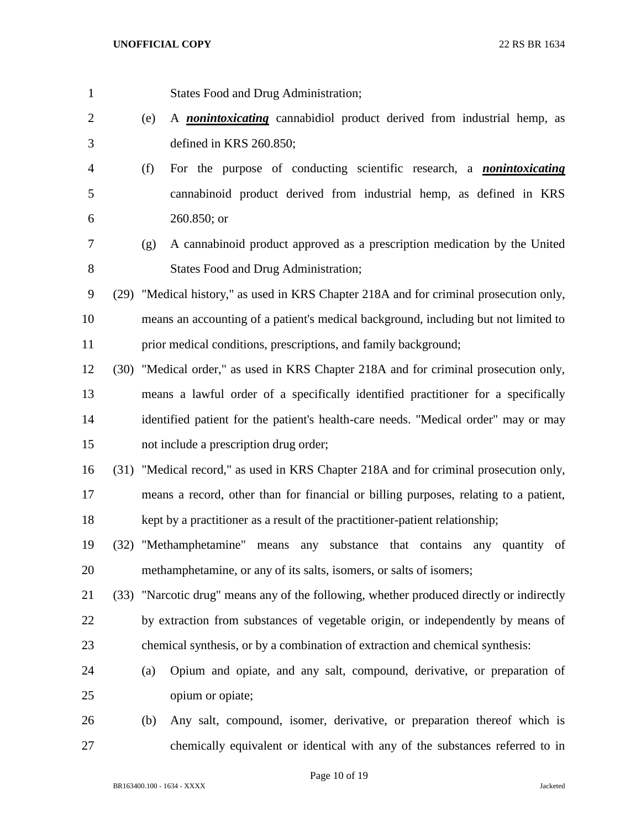States Food and Drug Administration; (e) A *nonintoxicating* cannabidiol product derived from industrial hemp, as defined in KRS 260.850; (f) For the purpose of conducting scientific research, a *nonintoxicating* cannabinoid product derived from industrial hemp, as defined in KRS 260.850; or (g) A cannabinoid product approved as a prescription medication by the United 8 States Food and Drug Administration; (29) "Medical history," as used in KRS Chapter 218A and for criminal prosecution only, means an accounting of a patient's medical background, including but not limited to prior medical conditions, prescriptions, and family background; (30) "Medical order," as used in KRS Chapter 218A and for criminal prosecution only, means a lawful order of a specifically identified practitioner for a specifically identified patient for the patient's health-care needs. "Medical order" may or may not include a prescription drug order; (31) "Medical record," as used in KRS Chapter 218A and for criminal prosecution only, means a record, other than for financial or billing purposes, relating to a patient, kept by a practitioner as a result of the practitioner-patient relationship; (32) "Methamphetamine" means any substance that contains any quantity of methamphetamine, or any of its salts, isomers, or salts of isomers; (33) "Narcotic drug" means any of the following, whether produced directly or indirectly by extraction from substances of vegetable origin, or independently by means of chemical synthesis, or by a combination of extraction and chemical synthesis: (a) Opium and opiate, and any salt, compound, derivative, or preparation of opium or opiate; (b) Any salt, compound, isomer, derivative, or preparation thereof which is

Page 10 of 19

chemically equivalent or identical with any of the substances referred to in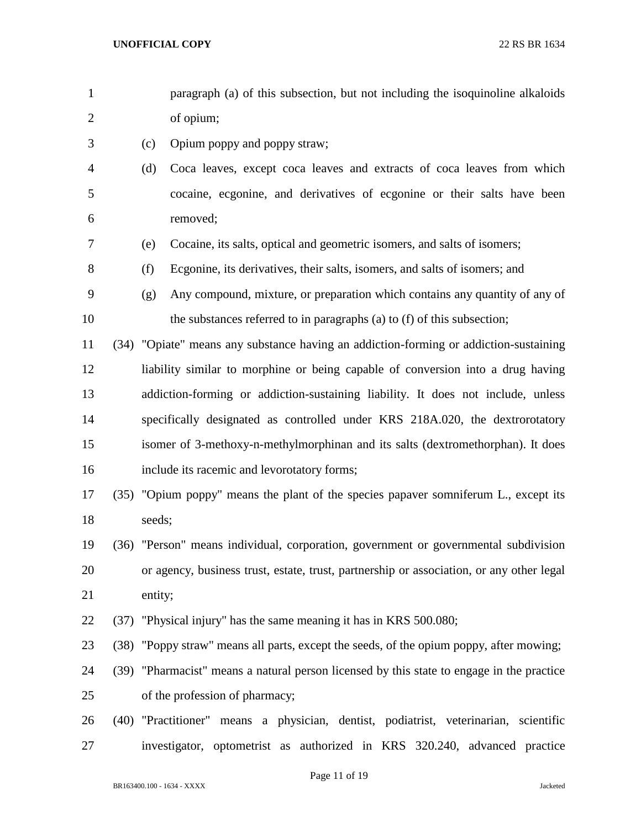- paragraph (a) of this subsection, but not including the isoquinoline alkaloids of opium;
- (c) Opium poppy and poppy straw;
- (d) Coca leaves, except coca leaves and extracts of coca leaves from which cocaine, ecgonine, and derivatives of ecgonine or their salts have been removed;
- (e) Cocaine, its salts, optical and geometric isomers, and salts of isomers;
- (f) Ecgonine, its derivatives, their salts, isomers, and salts of isomers; and
- (g) Any compound, mixture, or preparation which contains any quantity of any of the substances referred to in paragraphs (a) to (f) of this subsection;
- (34) "Opiate" means any substance having an addiction-forming or addiction-sustaining liability similar to morphine or being capable of conversion into a drug having addiction-forming or addiction-sustaining liability. It does not include, unless specifically designated as controlled under KRS 218A.020, the dextrorotatory isomer of 3-methoxy-n-methylmorphinan and its salts (dextromethorphan). It does include its racemic and levorotatory forms;
- (35) "Opium poppy" means the plant of the species papaver somniferum L., except its 18 seeds;
- (36) "Person" means individual, corporation, government or governmental subdivision or agency, business trust, estate, trust, partnership or association, or any other legal entity;
- (37) "Physical injury" has the same meaning it has in KRS 500.080;
- (38) "Poppy straw" means all parts, except the seeds, of the opium poppy, after mowing;
- (39) "Pharmacist" means a natural person licensed by this state to engage in the practice of the profession of pharmacy;
- (40) "Practitioner" means a physician, dentist, podiatrist, veterinarian, scientific investigator, optometrist as authorized in KRS 320.240, advanced practice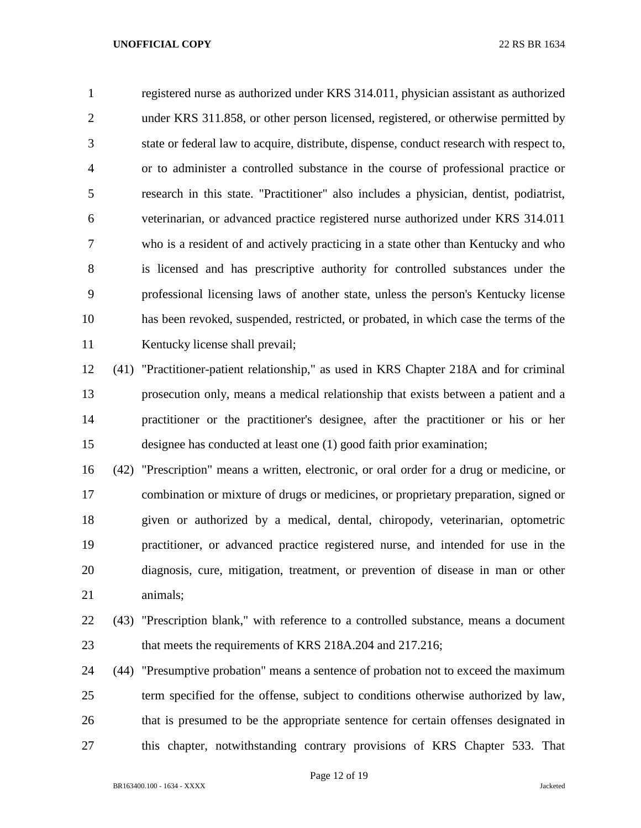registered nurse as authorized under KRS 314.011, physician assistant as authorized under KRS 311.858, or other person licensed, registered, or otherwise permitted by state or federal law to acquire, distribute, dispense, conduct research with respect to, or to administer a controlled substance in the course of professional practice or research in this state. "Practitioner" also includes a physician, dentist, podiatrist, veterinarian, or advanced practice registered nurse authorized under KRS 314.011 who is a resident of and actively practicing in a state other than Kentucky and who is licensed and has prescriptive authority for controlled substances under the professional licensing laws of another state, unless the person's Kentucky license has been revoked, suspended, restricted, or probated, in which case the terms of the Kentucky license shall prevail;

 (41) "Practitioner-patient relationship," as used in KRS Chapter 218A and for criminal prosecution only, means a medical relationship that exists between a patient and a practitioner or the practitioner's designee, after the practitioner or his or her designee has conducted at least one (1) good faith prior examination;

 (42) "Prescription" means a written, electronic, or oral order for a drug or medicine, or combination or mixture of drugs or medicines, or proprietary preparation, signed or given or authorized by a medical, dental, chiropody, veterinarian, optometric practitioner, or advanced practice registered nurse, and intended for use in the diagnosis, cure, mitigation, treatment, or prevention of disease in man or other animals;

 (43) "Prescription blank," with reference to a controlled substance, means a document that meets the requirements of KRS 218A.204 and 217.216;

 (44) "Presumptive probation" means a sentence of probation not to exceed the maximum term specified for the offense, subject to conditions otherwise authorized by law, that is presumed to be the appropriate sentence for certain offenses designated in this chapter, notwithstanding contrary provisions of KRS Chapter 533. That

Page 12 of 19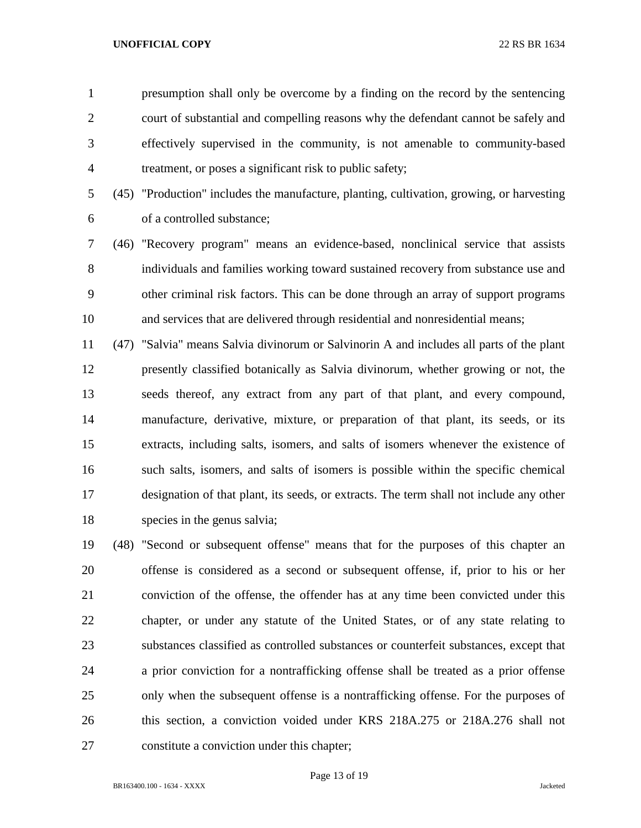presumption shall only be overcome by a finding on the record by the sentencing court of substantial and compelling reasons why the defendant cannot be safely and effectively supervised in the community, is not amenable to community-based treatment, or poses a significant risk to public safety;

 (45) "Production" includes the manufacture, planting, cultivation, growing, or harvesting of a controlled substance;

 (46) "Recovery program" means an evidence-based, nonclinical service that assists individuals and families working toward sustained recovery from substance use and other criminal risk factors. This can be done through an array of support programs and services that are delivered through residential and nonresidential means;

 (47) "Salvia" means Salvia divinorum or Salvinorin A and includes all parts of the plant presently classified botanically as Salvia divinorum, whether growing or not, the seeds thereof, any extract from any part of that plant, and every compound, manufacture, derivative, mixture, or preparation of that plant, its seeds, or its extracts, including salts, isomers, and salts of isomers whenever the existence of such salts, isomers, and salts of isomers is possible within the specific chemical designation of that plant, its seeds, or extracts. The term shall not include any other species in the genus salvia;

 (48) "Second or subsequent offense" means that for the purposes of this chapter an offense is considered as a second or subsequent offense, if, prior to his or her conviction of the offense, the offender has at any time been convicted under this chapter, or under any statute of the United States, or of any state relating to substances classified as controlled substances or counterfeit substances, except that a prior conviction for a nontrafficking offense shall be treated as a prior offense only when the subsequent offense is a nontrafficking offense. For the purposes of this section, a conviction voided under KRS 218A.275 or 218A.276 shall not constitute a conviction under this chapter;

Page 13 of 19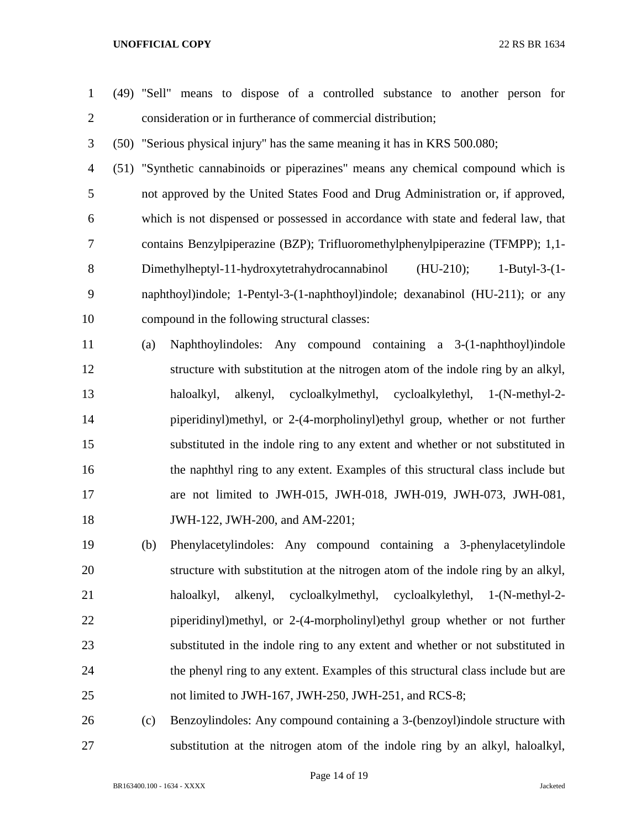- (49) "Sell" means to dispose of a controlled substance to another person for consideration or in furtherance of commercial distribution; (50) "Serious physical injury" has the same meaning it has in KRS 500.080; (51) "Synthetic cannabinoids or piperazines" means any chemical compound which is not approved by the United States Food and Drug Administration or, if approved, which is not dispensed or possessed in accordance with state and federal law, that contains Benzylpiperazine (BZP); Trifluoromethylphenylpiperazine (TFMPP); 1,1- Dimethylheptyl-11-hydroxytetrahydrocannabinol (HU-210); 1-Butyl-3-(1- naphthoyl)indole; 1-Pentyl-3-(1-naphthoyl)indole; dexanabinol (HU-211); or any compound in the following structural classes: (a) Naphthoylindoles: Any compound containing a 3-(1-naphthoyl)indole structure with substitution at the nitrogen atom of the indole ring by an alkyl, haloalkyl, alkenyl, cycloalkylmethyl, cycloalkylethyl, 1-(N-methyl-2- piperidinyl)methyl, or 2-(4-morpholinyl)ethyl group, whether or not further substituted in the indole ring to any extent and whether or not substituted in the naphthyl ring to any extent. Examples of this structural class include but are not limited to JWH-015, JWH-018, JWH-019, JWH-073, JWH-081, JWH-122, JWH-200, and AM-2201; (b) Phenylacetylindoles: Any compound containing a 3-phenylacetylindole structure with substitution at the nitrogen atom of the indole ring by an alkyl, haloalkyl, alkenyl, cycloalkylmethyl, cycloalkylethyl, 1-(N-methyl-2- piperidinyl)methyl, or 2-(4-morpholinyl)ethyl group whether or not further substituted in the indole ring to any extent and whether or not substituted in the phenyl ring to any extent. Examples of this structural class include but are not limited to JWH-167, JWH-250, JWH-251, and RCS-8; (c) Benzoylindoles: Any compound containing a 3-(benzoyl)indole structure with
	- BR163400.100 1634 XXXX Jacketed

Page 14 of 19

substitution at the nitrogen atom of the indole ring by an alkyl, haloalkyl,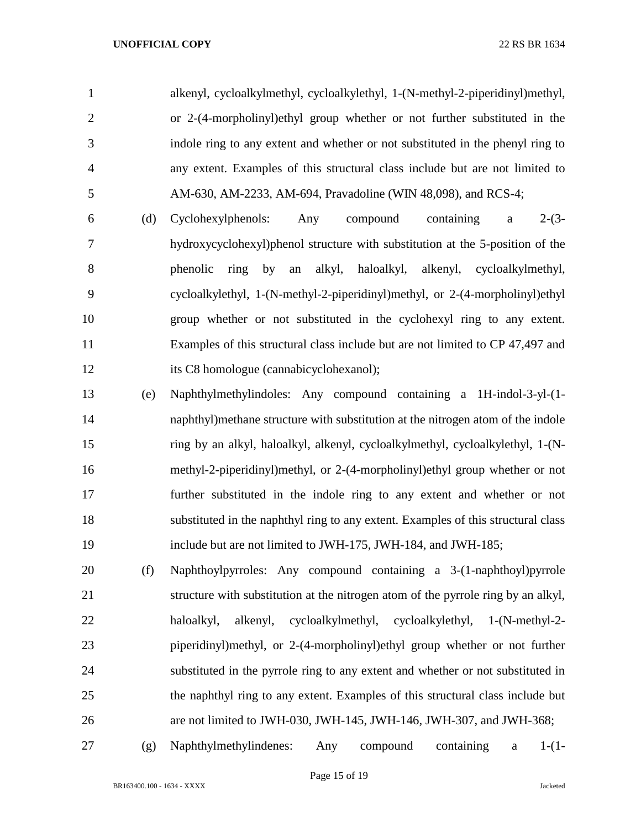alkenyl, cycloalkylmethyl, cycloalkylethyl, 1-(N-methyl-2-piperidinyl)methyl, or 2-(4-morpholinyl)ethyl group whether or not further substituted in the indole ring to any extent and whether or not substituted in the phenyl ring to any extent. Examples of this structural class include but are not limited to AM-630, AM-2233, AM-694, Pravadoline (WIN 48,098), and RCS-4;

- (d) Cyclohexylphenols: Any compound containing a 2-(3- hydroxycyclohexyl)phenol structure with substitution at the 5-position of the phenolic ring by an alkyl, haloalkyl, alkenyl, cycloalkylmethyl, cycloalkylethyl, 1-(N-methyl-2-piperidinyl)methyl, or 2-(4-morpholinyl)ethyl group whether or not substituted in the cyclohexyl ring to any extent. Examples of this structural class include but are not limited to CP 47,497 and its C8 homologue (cannabicyclohexanol);
- (e) Naphthylmethylindoles: Any compound containing a 1H-indol-3-yl-(1- naphthyl)methane structure with substitution at the nitrogen atom of the indole ring by an alkyl, haloalkyl, alkenyl, cycloalkylmethyl, cycloalkylethyl, 1-(N- methyl-2-piperidinyl)methyl, or 2-(4-morpholinyl)ethyl group whether or not further substituted in the indole ring to any extent and whether or not substituted in the naphthyl ring to any extent. Examples of this structural class include but are not limited to JWH-175, JWH-184, and JWH-185;
- (f) Naphthoylpyrroles: Any compound containing a 3-(1-naphthoyl)pyrrole structure with substitution at the nitrogen atom of the pyrrole ring by an alkyl, haloalkyl, alkenyl, cycloalkylmethyl, cycloalkylethyl, 1-(N-methyl-2- piperidinyl)methyl, or 2-(4-morpholinyl)ethyl group whether or not further substituted in the pyrrole ring to any extent and whether or not substituted in the naphthyl ring to any extent. Examples of this structural class include but are not limited to JWH-030, JWH-145, JWH-146, JWH-307, and JWH-368;
- 

(g) Naphthylmethylindenes: Any compound containing a 1-(1-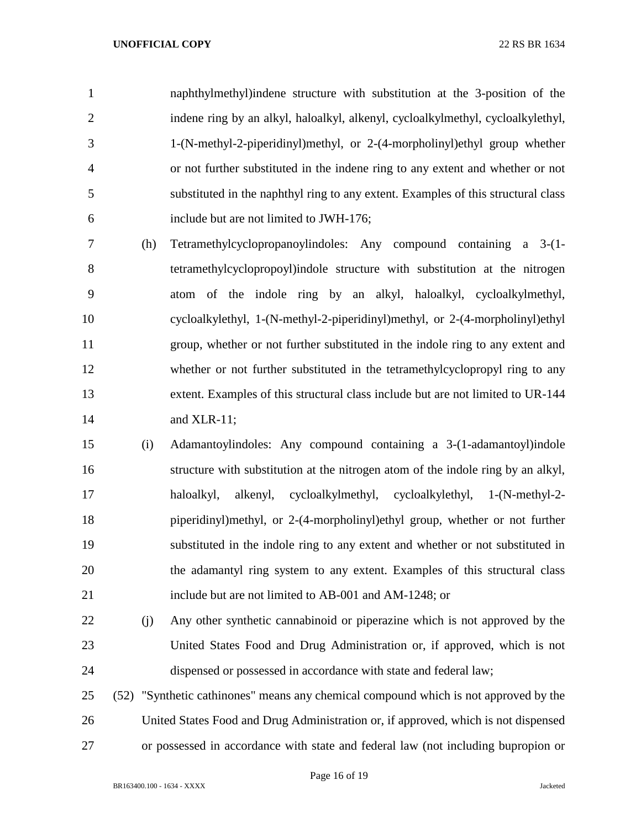naphthylmethyl)indene structure with substitution at the 3-position of the indene ring by an alkyl, haloalkyl, alkenyl, cycloalkylmethyl, cycloalkylethyl, 1-(N-methyl-2-piperidinyl)methyl, or 2-(4-morpholinyl)ethyl group whether or not further substituted in the indene ring to any extent and whether or not substituted in the naphthyl ring to any extent. Examples of this structural class include but are not limited to JWH-176;

- (h) Tetramethylcyclopropanoylindoles: Any compound containing a 3-(1- tetramethylcyclopropoyl)indole structure with substitution at the nitrogen atom of the indole ring by an alkyl, haloalkyl, cycloalkylmethyl, cycloalkylethyl, 1-(N-methyl-2-piperidinyl)methyl, or 2-(4-morpholinyl)ethyl group, whether or not further substituted in the indole ring to any extent and whether or not further substituted in the tetramethylcyclopropyl ring to any extent. Examples of this structural class include but are not limited to UR-144 and XLR-11;
- (i) Adamantoylindoles: Any compound containing a 3-(1-adamantoyl)indole structure with substitution at the nitrogen atom of the indole ring by an alkyl, haloalkyl, alkenyl, cycloalkylmethyl, cycloalkylethyl, 1-(N-methyl-2- piperidinyl)methyl, or 2-(4-morpholinyl)ethyl group, whether or not further substituted in the indole ring to any extent and whether or not substituted in the adamantyl ring system to any extent. Examples of this structural class include but are not limited to AB-001 and AM-1248; or
- (j) Any other synthetic cannabinoid or piperazine which is not approved by the United States Food and Drug Administration or, if approved, which is not dispensed or possessed in accordance with state and federal law;
- (52) "Synthetic cathinones" means any chemical compound which is not approved by the United States Food and Drug Administration or, if approved, which is not dispensed or possessed in accordance with state and federal law (not including bupropion or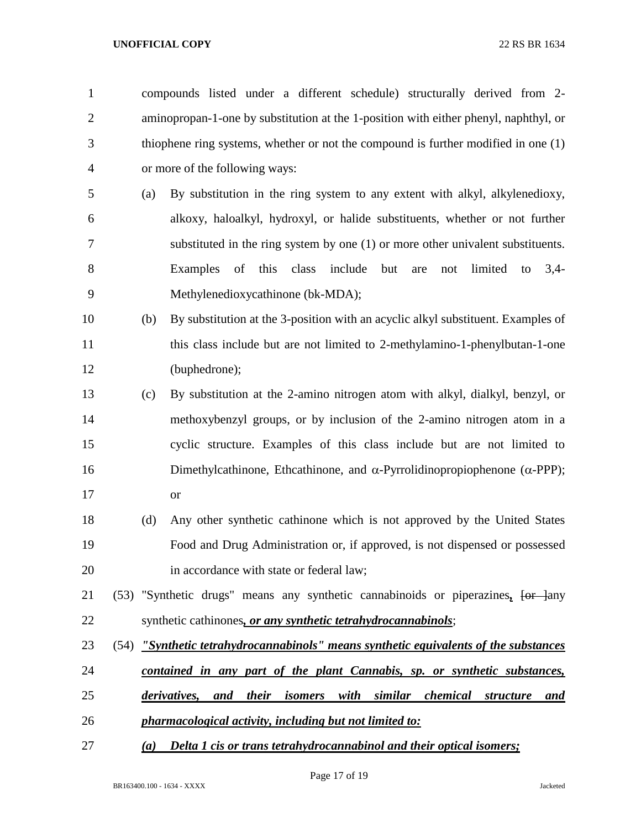compounds listed under a different schedule) structurally derived from 2- aminopropan-1-one by substitution at the 1-position with either phenyl, naphthyl, or thiophene ring systems, whether or not the compound is further modified in one (1) or more of the following ways:

- (a) By substitution in the ring system to any extent with alkyl, alkylenedioxy, alkoxy, haloalkyl, hydroxyl, or halide substituents, whether or not further substituted in the ring system by one (1) or more other univalent substituents. Examples of this class include but are not limited to 3,4- Methylenedioxycathinone (bk-MDA);
- (b) By substitution at the 3-position with an acyclic alkyl substituent. Examples of this class include but are not limited to 2-methylamino-1-phenylbutan-1-one (buphedrone);
- (c) By substitution at the 2-amino nitrogen atom with alkyl, dialkyl, benzyl, or methoxybenzyl groups, or by inclusion of the 2-amino nitrogen atom in a cyclic structure. Examples of this class include but are not limited to 16 Dimethylcathinone, Ethcathinone, and  $\alpha$ -Pyrrolidinopropiophenone ( $\alpha$ -PPP); or
- (d) Any other synthetic cathinone which is not approved by the United States Food and Drug Administration or, if approved, is not dispensed or possessed 20 in accordance with state or federal law;
- (53) "Synthetic drugs" means any synthetic cannabinoids or piperazines*,* [or ]any synthetic cathinones*, or any synthetic tetrahydrocannabinols*;
- (54) *"Synthetic tetrahydrocannabinols" means synthetic equivalents of the substances*
- *contained in any part of the plant Cannabis, sp. or synthetic substances,*
- *derivatives, and their isomers with similar chemical structure and*
- *pharmacological activity, including but not limited to:*
- *(a) Delta 1 cis or trans tetrahydrocannabinol and their optical isomers;*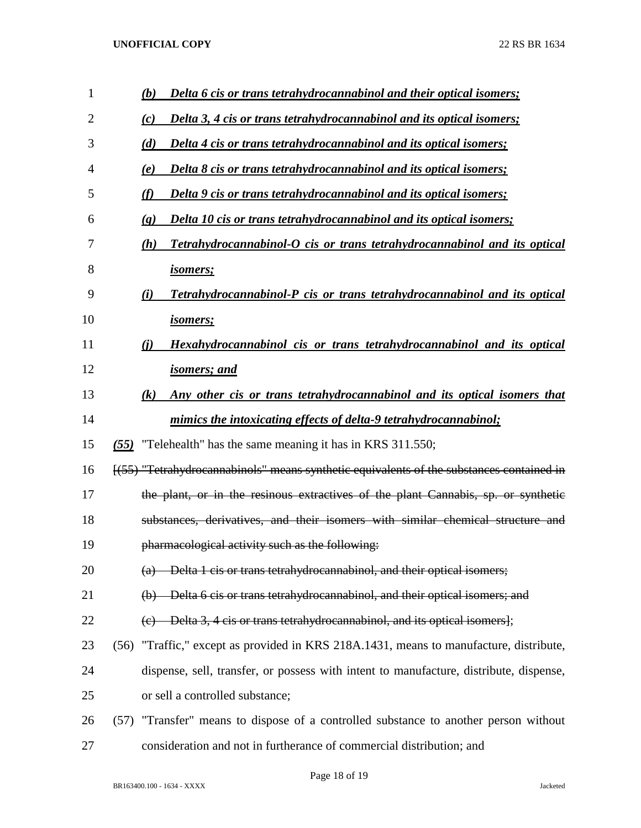| $\mathbf{1}$   | (b)<br>Delta 6 cis or trans tetrahydrocannabinol and their optical isomers;                               |
|----------------|-----------------------------------------------------------------------------------------------------------|
| $\overline{2}$ | Delta 3, 4 cis or trans tetrahydrocannabinol and its optical isomers;<br>(c)                              |
| 3              | (d)<br>Delta 4 cis or trans tetrahydrocannabinol and its optical isomers;                                 |
| 4              | Delta 8 cis or trans tetrahydrocannabinol and its optical isomers;<br>(e)                                 |
| 5              | (f)<br>Delta 9 cis or trans tetrahydrocannabinol and its optical isomers;                                 |
| 6              | <b>Delta 10 cis or trans tetrahydrocannabinol and its optical isomers;</b><br>$\left( \mathbf{g} \right)$ |
| 7              | Tetrahydrocannabinol-O cis or trans tetrahydrocannabinol and its optical<br>(h)                           |
| 8              | <u>isomers;</u>                                                                                           |
| 9              | Tetrahydrocannabinol-P cis or trans tetrahydrocannabinol and its optical<br>(i)                           |
| 10             | <u>isomers;</u>                                                                                           |
| 11             | Hexahydrocannabinol cis or trans tetrahydrocannabinol and its optical<br>(i)                              |
| 12             | <u>isomers; and</u>                                                                                       |
| 13             | Any other cis or trans tetrahydrocannabinol and its optical isomers that<br>$\left( k\right)$             |
| 14             | mimics the intoxicating effects of delta-9 tetrahydrocannabinol;                                          |
| 15             | (55) "Telehealth" has the same meaning it has in KRS 311.550;                                             |
| 16             | [(55) "Tetrahydrocannabinols" means synthetic equivalents of the substances contained in                  |
| 17             | the plant, or in the resinous extractives of the plant Cannabis, sp. or synthetic                         |
| 18             | substances, derivatives, and their isomers with similar chemical structure and                            |
| 19             | pharmacological activity such as the following:                                                           |
| 20             | (a) Delta 1 cis or trans tetrahydrocannabinol, and their optical isomers;                                 |
| 21             | (b) Delta 6 cis or trans tetrahydrocannabinol, and their optical isomers; and                             |
| 22             | (e) Delta 3, 4 cis or trans tetrahydrocannabinol, and its optical isomers];                               |
| 23             | (56) "Traffic," except as provided in KRS 218A.1431, means to manufacture, distribute,                    |
| 24             | dispense, sell, transfer, or possess with intent to manufacture, distribute, dispense,                    |
| 25             | or sell a controlled substance;                                                                           |
| 26             | (57) "Transfer" means to dispose of a controlled substance to another person without                      |
| 27             | consideration and not in furtherance of commercial distribution; and                                      |

Page 18 of 19